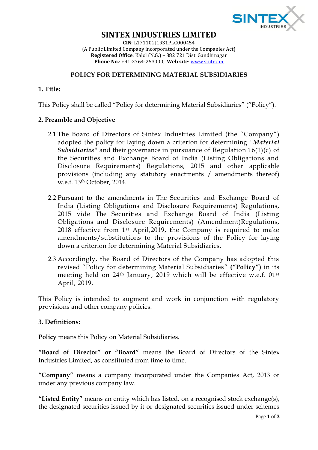

# **SINTEX INDUSTRIES LIMITED**

**CIN**: L17110GJ1931PLC000454 (A Public Limited Company incorporated under the Companies Act) **Registered Office**: Kalol (N.G.) – 382 721 Dist. Gandhinagar **Phone No.**: +91-2764-253000, **Web site**[: www.sintex.in](http://www.sintex.in/)

#### **POLICY FOR DETERMINING MATERIAL SUBSIDIARIES**

## **1. Title:**

This Policy shall be called "Policy for determining Material Subsidiaries" ("Policy").

#### **2. Preamble and Objective**

- 2.1 The Board of Directors of Sintex Industries Limited (the "Company") adopted the policy for laying down a criterion for determining *"Material Subsidiaries"* and their governance in pursuance of Regulation 16(1)(c) of the Securities and Exchange Board of India (Listing Obligations and Disclosure Requirements) Regulations, 2015 and other applicable provisions (including any statutory enactments / amendments thereof) w.e.f. 13th October, 2014.
- 2.2 Pursuant to the amendments in The Securities and Exchange Board of India (Listing Obligations and Disclosure Requirements) Regulations, 2015 vide The Securities and Exchange Board of India (Listing Obligations and Disclosure Requirements) (Amendment)Regulations, 2018 effective from 1st April,2019, the Company is required to make amendments/substitutions to the provisions of the Policy for laying down a criterion for determining Material Subsidiaries.
- 2.3 Accordingly, the Board of Directors of the Company has adopted this revised "Policy for determining Material Subsidiaries" **("Policy")** in its meeting held on 24<sup>th</sup> January, 2019 which will be effective w.e.f. 01<sup>st</sup> April, 2019.

This Policy is intended to augment and work in conjunction with regulatory provisions and other company policies.

### **3. Definitions:**

**Policy** means this Policy on Material Subsidiaries.

**"Board of Director" or "Board"** means the Board of Directors of the Sintex Industries Limited, as constituted from time to time.

**"Company"** means a company incorporated under the Companies Act, 2013 or under any previous company law.

**"Listed Entity"** means an entity which has listed, on a recognised stock exchange(s), the designated securities issued by it or designated securities issued under schemes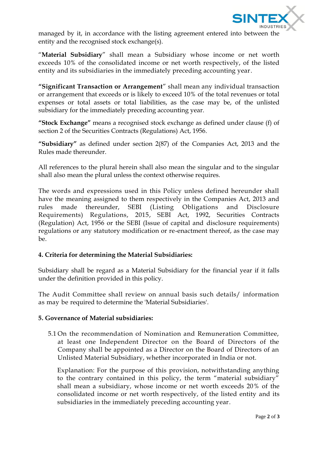

managed by it, in accordance with the listing agreement entered into between the entity and the recognised stock exchange(s).

"**Material Subsidiary**" shall mean a Subsidiary whose income or net worth exceeds 10% of the consolidated income or net worth respectively, of the listed entity and its subsidiaries in the immediately preceding accounting year.

**"Significant Transaction or Arrangement**" shall mean any individual transaction or arrangement that exceeds or is likely to exceed 10% of the total revenues or total expenses or total assets or total liabilities, as the case may be, of the unlisted subsidiary for the immediately preceding accounting year.

**"Stock Exchange"** means a recognised stock exchange as defined under clause (f) of section 2 of the Securities Contracts (Regulations) Act, 1956.

**"Subsidiary"** as defined under section 2(87) of the Companies Act, 2013 and the Rules made thereunder.

All references to the plural herein shall also mean the singular and to the singular shall also mean the plural unless the context otherwise requires.

The words and expressions used in this Policy unless defined hereunder shall have the meaning assigned to them respectively in the Companies Act, 2013 and rules made thereunder, SEBI (Listing Obligations and Disclosure Requirements) Regulations, 2015, SEBI Act, 1992, Securities Contracts (Regulation) Act, 1956 or the SEBI (Issue of capital and disclosure requirements) regulations or any statutory modification or re-enactment thereof, as the case may be.

# **4. Criteria for determining the Material Subsidiaries:**

Subsidiary shall be regard as a Material Subsidiary for the financial year if it falls under the definition provided in this policy.

The Audit Committee shall review on annual basis such details/ information as may be required to determine the 'Material Subsidiaries'.

### **5. Governance of Material subsidiaries:**

5.1 On the recommendation of Nomination and Remuneration Committee, at least one Independent Director on the Board of Directors of the Company shall be appointed as a Director on the Board of Directors of an Unlisted Material Subsidiary, whether incorporated in India or not.

Explanation: For the purpose of this provision, notwithstanding anything to the contrary contained in this policy, the term "material subsidiary" shall mean a subsidiary, whose income or net worth exceeds 20% of the consolidated income or net worth respectively, of the listed entity and its subsidiaries in the immediately preceding accounting year.